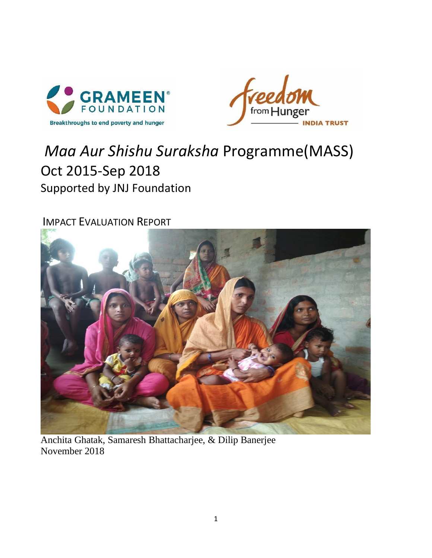



# *Maa Aur Shishu Suraksha* Programme(MASS) Oct 2015-Sep 2018 Supported by JNJ Foundation

IMPACT EVALUATION REPORT



Anchita Ghatak, Samaresh Bhattacharjee, & Dilip Banerjee November 2018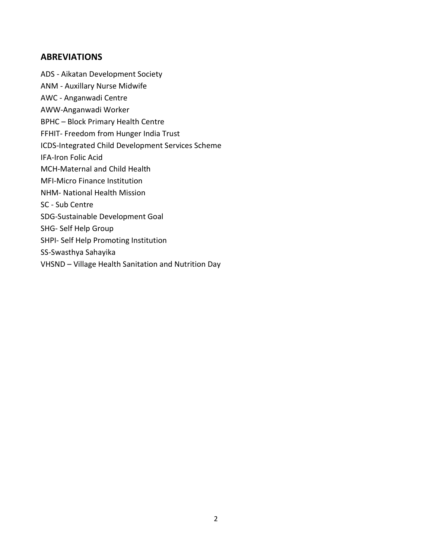#### **ABREVIATIONS**

- ADS Aikatan Development Society
- ANM Auxillary Nurse Midwife
- AWC Anganwadi Centre
- AWW-Anganwadi Worker
- BPHC Block Primary Health Centre
- FFHIT- Freedom from Hunger India Trust
- ICDS-Integrated Child Development Services Scheme
- IFA-Iron Folic Acid
- MCH-Maternal and Child Health
- MFI-Micro Finance Institution
- NHM- National Health Mission
- SC Sub Centre
- SDG-Sustainable Development Goal
- SHG- Self Help Group
- SHPI- Self Help Promoting Institution
- SS-Swasthya Sahayika
- VHSND Village Health Sanitation and Nutrition Day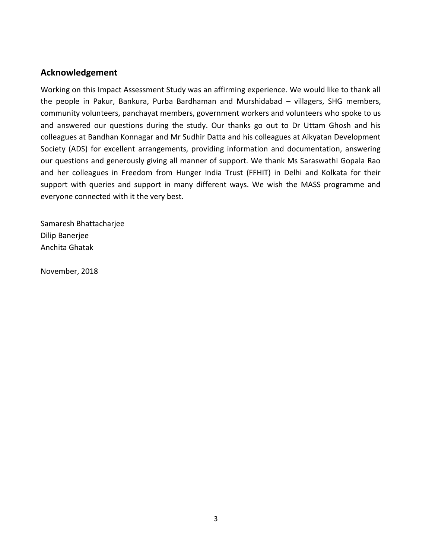# **Acknowledgement**

Working on this Impact Assessment Study was an affirming experience. We would like to thank all the people in Pakur, Bankura, Purba Bardhaman and Murshidabad – villagers, SHG members, community volunteers, panchayat members, government workers and volunteers who spoke to us and answered our questions during the study. Our thanks go out to Dr Uttam Ghosh and his colleagues at Bandhan Konnagar and Mr Sudhir Datta and his colleagues at Aikyatan Development Society (ADS) for excellent arrangements, providing information and documentation, answering our questions and generously giving all manner of support. We thank Ms Saraswathi Gopala Rao and her colleagues in Freedom from Hunger India Trust (FFHIT) in Delhi and Kolkata for their support with queries and support in many different ways. We wish the MASS programme and everyone connected with it the very best.

Samaresh Bhattacharjee Dilip Banerjee Anchita Ghatak

November, 2018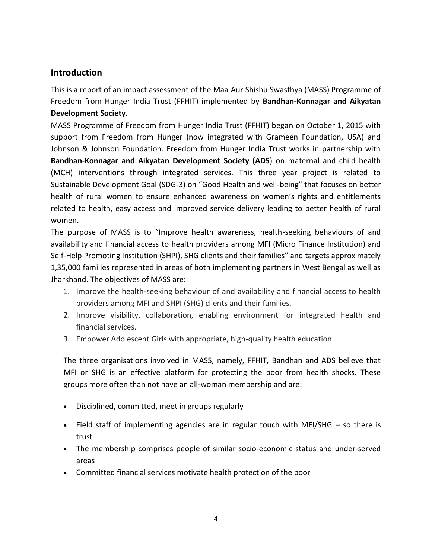# **Introduction**

This is a report of an impact assessment of the Maa Aur Shishu Swasthya (MASS) Programme of Freedom from Hunger India Trust (FFHIT) implemented by **Bandhan-Konnagar and Aikyatan Development Society**.

MASS Programme of Freedom from Hunger India Trust (FFHIT) began on October 1, 2015 with support from Freedom from Hunger (now integrated with Grameen Foundation, USA) and Johnson & Johnson Foundation. Freedom from Hunger India Trust works in partnership with **Bandhan-Konnagar and Aikyatan Development Society (ADS**) on maternal and child health (MCH) interventions through integrated services. This three year project is related to Sustainable Development Goal (SDG-3) on "Good Health and well-being" that focuses on better health of rural women to ensure enhanced awareness on women's rights and entitlements related to health, easy access and improved service delivery leading to better health of rural women.

The purpose of MASS is to "Improve health awareness, health-seeking behaviours of and availability and financial access to health providers among MFI (Micro Finance Institution) and Self-Help Promoting Institution (SHPI), SHG clients and their families" and targets approximately 1,35,000 families represented in areas of both implementing partners in West Bengal as well as Jharkhand. The objectives of MASS are:

- 1. Improve the health-seeking behaviour of and availability and financial access to health providers among MFI and SHPI (SHG) clients and their families.
- 2. Improve visibility, collaboration, enabling environment for integrated health and financial services.
- 3. Empower Adolescent Girls with appropriate, high-quality health education.

The three organisations involved in MASS, namely, FFHIT, Bandhan and ADS believe that MFI or SHG is an effective platform for protecting the poor from health shocks. These groups more often than not have an all-woman membership and are:

- Disciplined, committed, meet in groups regularly
- Field staff of implementing agencies are in regular touch with MFI/SHG so there is trust
- The membership comprises people of similar socio-economic status and under-served areas
- Committed financial services motivate health protection of the poor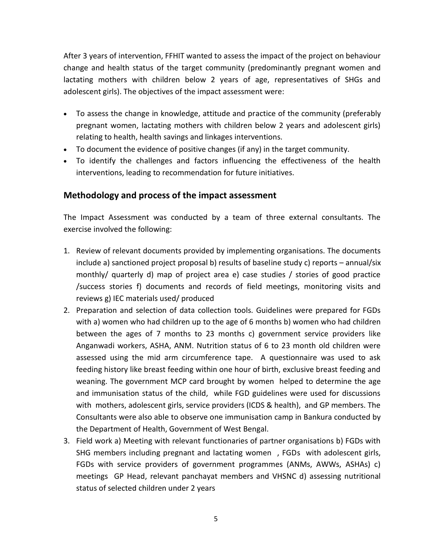After 3 years of intervention, FFHIT wanted to assess the impact of the project on behaviour change and health status of the target community (predominantly pregnant women and lactating mothers with children below 2 years of age, representatives of SHGs and adolescent girls). The objectives of the impact assessment were:

- To assess the change in knowledge, attitude and practice of the community (preferably pregnant women, lactating mothers with children below 2 years and adolescent girls) relating to health, health savings and linkages interventions.
- To document the evidence of positive changes (if any) in the target community.
- To identify the challenges and factors influencing the effectiveness of the health interventions, leading to recommendation for future initiatives.

# **Methodology and process of the impact assessment**

The Impact Assessment was conducted by a team of three external consultants. The exercise involved the following:

- 1. Review of relevant documents provided by implementing organisations. The documents include a) sanctioned project proposal b) results of baseline study c) reports – annual/six monthly/ quarterly d) map of project area e) case studies / stories of good practice /success stories f) documents and records of field meetings, monitoring visits and reviews g) IEC materials used/ produced
- 2. Preparation and selection of data collection tools. Guidelines were prepared for FGDs with a) women who had children up to the age of 6 months b) women who had children between the ages of 7 months to 23 months c) government service providers like Anganwadi workers, ASHA, ANM. Nutrition status of 6 to 23 month old children were assessed using the mid arm circumference tape. A questionnaire was used to ask feeding history like breast feeding within one hour of birth, exclusive breast feeding and weaning. The government MCP card brought by women helped to determine the age and immunisation status of the child, while FGD guidelines were used for discussions with mothers, adolescent girls, service providers (ICDS & health), and GP members. The Consultants were also able to observe one immunisation camp in Bankura conducted by the Department of Health, Government of West Bengal.
- 3. Field work a) Meeting with relevant functionaries of partner organisations b) FGDs with SHG members including pregnant and lactating women , FGDs with adolescent girls, FGDs with service providers of government programmes (ANMs, AWWs, ASHAs) c) meetings GP Head, relevant panchayat members and VHSNC d) assessing nutritional status of selected children under 2 years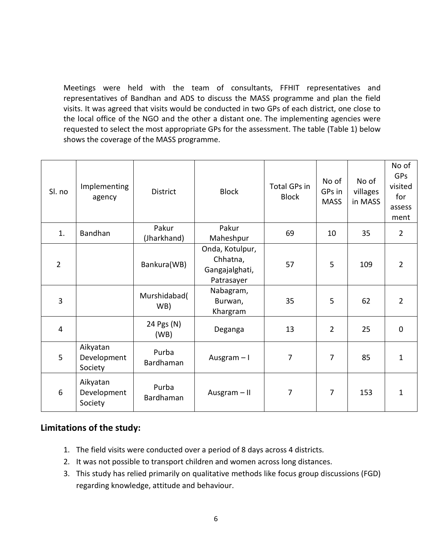Meetings were held with the team of consultants, FFHIT representatives and representatives of Bandhan and ADS to discuss the MASS programme and plan the field visits. It was agreed that visits would be conducted in two GPs of each district, one close to the local office of the NGO and the other a distant one. The implementing agencies were requested to select the most appropriate GPs for the assessment. The table (Table 1) below shows the coverage of the MASS programme.

| Sl. no         | Implementing<br>agency             | District             | <b>Block</b>                                                | <b>Total GPs in</b><br><b>Block</b> | No of<br>GPs in<br><b>MASS</b> | No of<br>villages<br>in MASS | No of<br><b>GPs</b><br>visited<br>for<br>assess<br>ment |
|----------------|------------------------------------|----------------------|-------------------------------------------------------------|-------------------------------------|--------------------------------|------------------------------|---------------------------------------------------------|
| 1.             | Bandhan                            | Pakur<br>(Jharkhand) | Pakur<br>Maheshpur                                          | 69                                  | 10                             | 35                           | $\overline{2}$                                          |
| $\overline{2}$ |                                    | Bankura(WB)          | Onda, Kotulpur,<br>Chhatna,<br>Gangajalghati,<br>Patrasayer | 57                                  | 5                              | 109                          | $\overline{2}$                                          |
| 3              |                                    | Murshidabad(<br>WB)  | Nabagram,<br>Burwan,<br>Khargram                            | 35                                  | 5                              | 62                           | $\overline{2}$                                          |
| $\overline{4}$ |                                    | 24 Pgs (N)<br>(WB)   | Deganga                                                     | 13                                  | $\overline{2}$                 | 25                           | $\mathbf 0$                                             |
| 5              | Aikyatan<br>Development<br>Society | Purba<br>Bardhaman   | Ausgram-I                                                   | $\overline{7}$                      | $\overline{7}$                 | 85                           | $\mathbf{1}$                                            |
| 6              | Aikyatan<br>Development<br>Society | Purba<br>Bardhaman   | Ausgram $-$ II                                              | $\overline{7}$                      | $\overline{7}$                 | 153                          | 1                                                       |

# **Limitations of the study:**

- 1. The field visits were conducted over a period of 8 days across 4 districts.
- 2. It was not possible to transport children and women across long distances.
- 3. This study has relied primarily on qualitative methods like focus group discussions (FGD) regarding knowledge, attitude and behaviour.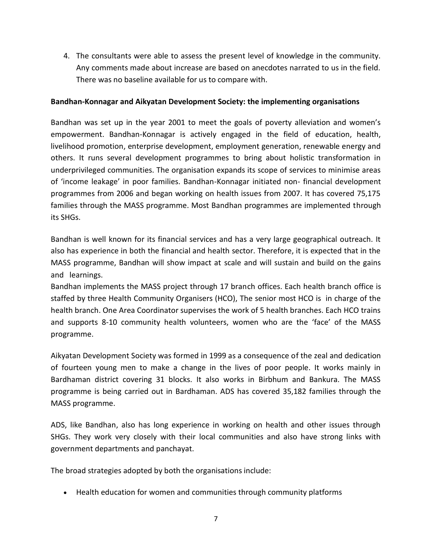4. The consultants were able to assess the present level of knowledge in the community. Any comments made about increase are based on anecdotes narrated to us in the field. There was no baseline available for us to compare with.

#### **Bandhan-Konnagar and Aikyatan Development Society: the implementing organisations**

Bandhan was set up in the year 2001 to meet the goals of poverty alleviation and women's empowerment. Bandhan-Konnagar is actively engaged in the field of education, health, livelihood promotion, enterprise development, employment generation, renewable energy and others. It runs several development programmes to bring about holistic transformation in underprivileged communities. The organisation expands its scope of services to minimise areas of 'income leakage' in poor families. Bandhan-Konnagar initiated non- financial development programmes from 2006 and began working on health issues from 2007. It has covered 75,175 families through the MASS programme. Most Bandhan programmes are implemented through its SHGs.

Bandhan is well known for its financial services and has a very large geographical outreach. It also has experience in both the financial and health sector. Therefore, it is expected that in the MASS programme, Bandhan will show impact at scale and will sustain and build on the gains and learnings.

Bandhan implements the MASS project through 17 branch offices. Each health branch office is staffed by three Health Community Organisers (HCO), The senior most HCO is in charge of the health branch. One Area Coordinator supervises the work of 5 health branches. Each HCO trains and supports 8-10 community health volunteers, women who are the 'face' of the MASS programme.

Aikyatan Development Society was formed in 1999 as a consequence of the zeal and dedication of fourteen young men to make a change in the lives of poor people. It works mainly in Bardhaman district covering 31 blocks. It also works in Birbhum and Bankura. The MASS programme is being carried out in Bardhaman. ADS has covered 35,182 families through the MASS programme.

ADS, like Bandhan, also has long experience in working on health and other issues through SHGs. They work very closely with their local communities and also have strong links with government departments and panchayat.

The broad strategies adopted by both the organisations include:

Health education for women and communities through community platforms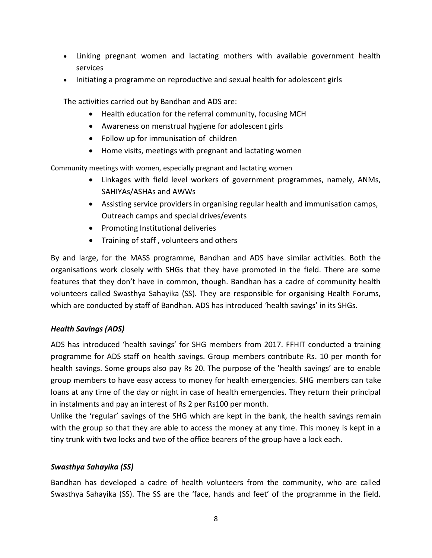- Linking pregnant women and lactating mothers with available government health services
- Initiating a programme on reproductive and sexual health for adolescent girls

The activities carried out by Bandhan and ADS are:

- Health education for the referral community, focusing MCH
- Awareness on menstrual hygiene for adolescent girls
- Follow up for immunisation of children
- Home visits, meetings with pregnant and lactating women

Community meetings with women, especially pregnant and lactating women

- Linkages with field level workers of government programmes, namely, ANMs, SAHIYAs/ASHAs and AWWs
- Assisting service providers in organising regular health and immunisation camps, Outreach camps and special drives/events
- Promoting Institutional deliveries
- Training of staff, volunteers and others

By and large, for the MASS programme, Bandhan and ADS have similar activities. Both the organisations work closely with SHGs that they have promoted in the field. There are some features that they don't have in common, though. Bandhan has a cadre of community health volunteers called Swasthya Sahayika (SS). They are responsible for organising Health Forums, which are conducted by staff of Bandhan. ADS has introduced 'health savings' in its SHGs.

### *Health Savings (ADS)*

ADS has introduced 'health savings' for SHG members from 2017. FFHIT conducted a training programme for ADS staff on health savings. Group members contribute Rs. 10 per month for health savings. Some groups also pay Rs 20. The purpose of the 'health savings' are to enable group members to have easy access to money for health emergencies. SHG members can take loans at any time of the day or night in case of health emergencies. They return their principal in instalments and pay an interest of Rs 2 per Rs100 per month.

Unlike the 'regular' savings of the SHG which are kept in the bank, the health savings remain with the group so that they are able to access the money at any time. This money is kept in a tiny trunk with two locks and two of the office bearers of the group have a lock each.

### *Swasthya Sahayika (SS)*

Bandhan has developed a cadre of health volunteers from the community, who are called Swasthya Sahayika (SS). The SS are the 'face, hands and feet' of the programme in the field.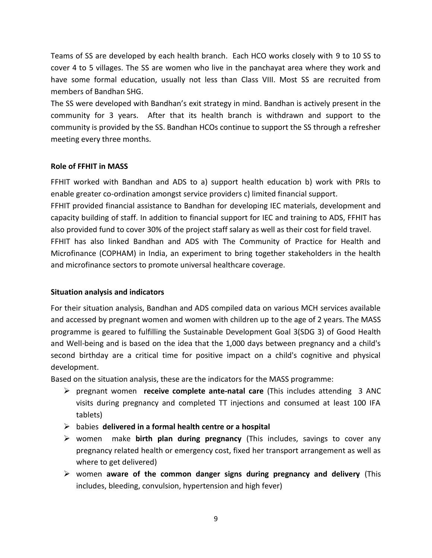Teams of SS are developed by each health branch. Each HCO works closely with 9 to 10 SS to cover 4 to 5 villages. The SS are women who live in the panchayat area where they work and have some formal education, usually not less than Class VIII. Most SS are recruited from members of Bandhan SHG.

The SS were developed with Bandhan's exit strategy in mind. Bandhan is actively present in the community for 3 years. After that its health branch is withdrawn and support to the community is provided by the SS. Bandhan HCOs continue to support the SS through a refresher meeting every three months.

#### **Role of FFHIT in MASS**

FFHIT worked with Bandhan and ADS to a) support health education b) work with PRIs to enable greater co-ordination amongst service providers c) limited financial support.

FFHIT provided financial assistance to Bandhan for developing IEC materials, development and capacity building of staff. In addition to financial support for IEC and training to ADS, FFHIT has also provided fund to cover 30% of the project staff salary as well as their cost for field travel.

FFHIT has also linked Bandhan and ADS with The Community of Practice for Health and Microfinance (COPHAM) in India, an experiment to bring together stakeholders in the health and microfinance sectors to promote universal healthcare coverage.

### **Situation analysis and indicators**

For their situation analysis, Bandhan and ADS compiled data on various MCH services available and accessed by pregnant women and women with children up to the age of 2 years. The MASS programme is geared to fulfilling the Sustainable Development Goal 3(SDG 3) of Good Health and Well-being and is based on the idea that the 1,000 days between pregnancy and a child's second birthday are a critical time for positive impact on a child's cognitive and physical development.

Based on the situation analysis, these are the indicators for the MASS programme:

- pregnant women **receive complete ante-natal care** (This includes attending 3 ANC visits during pregnancy and completed TT injections and consumed at least 100 IFA tablets)
- babies **delivered in a formal health centre or a hospital**
- women make **birth plan during pregnancy** (This includes, savings to cover any pregnancy related health or emergency cost, fixed her transport arrangement as well as where to get delivered)
- women **aware of the common danger signs during pregnancy and delivery** (This includes, bleeding, convulsion, hypertension and high fever)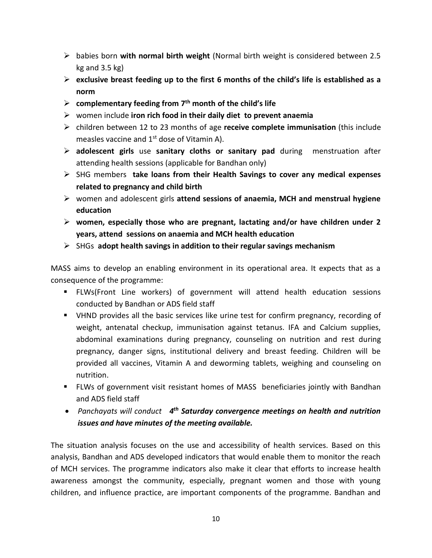- babies born **with normal birth weight** (Normal birth weight is considered between 2.5 kg and 3.5 kg)
- **exclusive breast feeding up to the first 6 months of the child's life is established as a norm**
- **complementary feeding from 7th month of the child's life**
- women include **iron rich food in their daily diet to prevent anaemia**
- children between 12 to 23 months of age **receive complete immunisation** (this include measles vaccine and  $1<sup>st</sup>$  dose of Vitamin A).
- **adolescent girls** use **sanitary cloths or sanitary pad** during menstruation after attending health sessions (applicable for Bandhan only)
- SHG members **take loans from their Health Savings to cover any medical expenses related to pregnancy and child birth**
- women and adolescent girls **attend sessions of anaemia, MCH and menstrual hygiene education**
- **women, especially those who are pregnant, lactating and/or have children under 2 years, attend sessions on anaemia and MCH health education**
- SHGs **adopt health savings in addition to their regular savings mechanism**

MASS aims to develop an enabling environment in its operational area. It expects that as a consequence of the programme:

- FLWs(Front Line workers) of government will attend health education sessions conducted by Bandhan or ADS field staff
- VHND provides all the basic services like urine test for confirm pregnancy, recording of weight, antenatal checkup, immunisation against tetanus. IFA and Calcium supplies, abdominal examinations during pregnancy, counseling on nutrition and rest during pregnancy, danger signs, institutional delivery and breast feeding. Children will be provided all vaccines, Vitamin A and deworming tablets, weighing and counseling on nutrition.
- FLWs of government visit resistant homes of MASS beneficiaries jointly with Bandhan and ADS field staff
- **•** Panchayats will conduct 4<sup>th</sup> Saturday convergence meetings on health and nutrition *issues and have minutes of the meeting available.*

The situation analysis focuses on the use and accessibility of health services. Based on this analysis, Bandhan and ADS developed indicators that would enable them to monitor the reach of MCH services. The programme indicators also make it clear that efforts to increase health awareness amongst the community, especially, pregnant women and those with young children, and influence practice, are important components of the programme. Bandhan and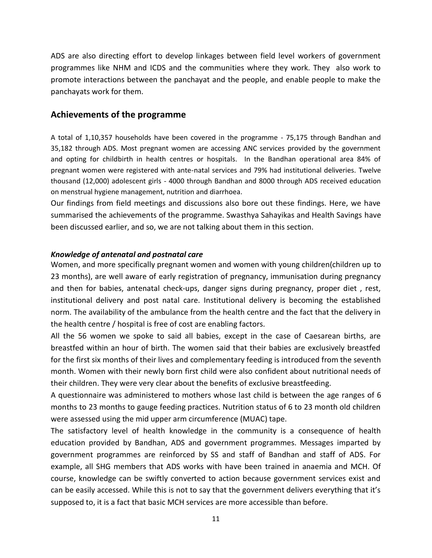ADS are also directing effort to develop linkages between field level workers of government programmes like NHM and ICDS and the communities where they work. They also work to promote interactions between the panchayat and the people, and enable people to make the panchayats work for them.

## **Achievements of the programme**

A total of 1,10,357 households have been covered in the programme - 75,175 through Bandhan and 35,182 through ADS. Most pregnant women are accessing ANC services provided by the government and opting for childbirth in health centres or hospitals. In the Bandhan operational area 84% of pregnant women were registered with ante-natal services and 79% had institutional deliveries. Twelve thousand (12,000) adolescent girls - 4000 through Bandhan and 8000 through ADS received education on menstrual hygiene management, nutrition and diarrhoea.

Our findings from field meetings and discussions also bore out these findings. Here, we have summarised the achievements of the programme. Swasthya Sahayikas and Health Savings have been discussed earlier, and so, we are not talking about them in this section.

#### *Knowledge of antenatal and postnatal care*

Women, and more specifically pregnant women and women with young children(children up to 23 months), are well aware of early registration of pregnancy, immunisation during pregnancy and then for babies, antenatal check-ups, danger signs during pregnancy, proper diet , rest, institutional delivery and post natal care. Institutional delivery is becoming the established norm. The availability of the ambulance from the health centre and the fact that the delivery in the health centre / hospital is free of cost are enabling factors.

All the 56 women we spoke to said all babies, except in the case of Caesarean births, are breastfed within an hour of birth. The women said that their babies are exclusively breastfed for the first six months of their lives and complementary feeding is introduced from the seventh month. Women with their newly born first child were also confident about nutritional needs of their children. They were very clear about the benefits of exclusive breastfeeding.

A questionnaire was administered to mothers whose last child is between the age ranges of 6 months to 23 months to gauge feeding practices. Nutrition status of 6 to 23 month old children were assessed using the mid upper arm circumference (MUAC) tape.

The satisfactory level of health knowledge in the community is a consequence of health education provided by Bandhan, ADS and government programmes. Messages imparted by government programmes are reinforced by SS and staff of Bandhan and staff of ADS. For example, all SHG members that ADS works with have been trained in anaemia and MCH. Of course, knowledge can be swiftly converted to action because government services exist and can be easily accessed. While this is not to say that the government delivers everything that it's supposed to, it is a fact that basic MCH services are more accessible than before.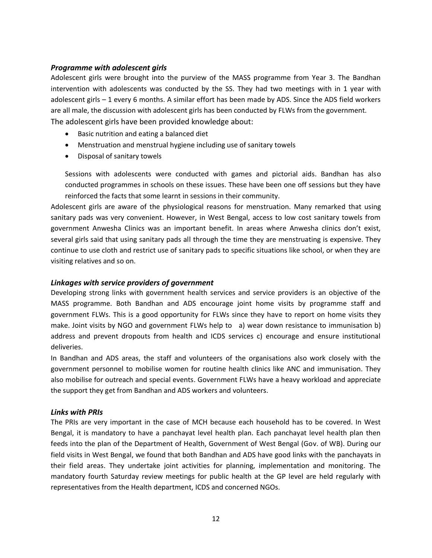#### *Programme with adolescent girls*

Adolescent girls were brought into the purview of the MASS programme from Year 3. The Bandhan intervention with adolescents was conducted by the SS. They had two meetings with in 1 year with adolescent girls – 1 every 6 months. A similar effort has been made by ADS. Since the ADS field workers are all male, the discussion with adolescent girls has been conducted by FLWs from the government. The adolescent girls have been provided knowledge about:

- Basic nutrition and eating a balanced diet
- Menstruation and menstrual hygiene including use of sanitary towels
- Disposal of sanitary towels

Sessions with adolescents were conducted with games and pictorial aids. Bandhan has also conducted programmes in schools on these issues. These have been one off sessions but they have reinforced the facts that some learnt in sessions in their community.

Adolescent girls are aware of the physiological reasons for menstruation. Many remarked that using sanitary pads was very convenient. However, in West Bengal, access to low cost sanitary towels from government Anwesha Clinics was an important benefit. In areas where Anwesha clinics don't exist, several girls said that using sanitary pads all through the time they are menstruating is expensive. They continue to use cloth and restrict use of sanitary pads to specific situations like school, or when they are visiting relatives and so on.

#### *Linkages with service providers of government*

Developing strong links with government health services and service providers is an objective of the MASS programme. Both Bandhan and ADS encourage joint home visits by programme staff and government FLWs. This is a good opportunity for FLWs since they have to report on home visits they make. Joint visits by NGO and government FLWs help to a) wear down resistance to immunisation b) address and prevent dropouts from health and ICDS services c) encourage and ensure institutional deliveries.

In Bandhan and ADS areas, the staff and volunteers of the organisations also work closely with the government personnel to mobilise women for routine health clinics like ANC and immunisation. They also mobilise for outreach and special events. Government FLWs have a heavy workload and appreciate the support they get from Bandhan and ADS workers and volunteers.

#### *Links with PRIs*

The PRIs are very important in the case of MCH because each household has to be covered. In West Bengal, it is mandatory to have a panchayat level health plan. Each panchayat level health plan then feeds into the plan of the Department of Health, Government of West Bengal (Gov. of WB). During our field visits in West Bengal, we found that both Bandhan and ADS have good links with the panchayats in their field areas. They undertake joint activities for planning, implementation and monitoring. The mandatory fourth Saturday review meetings for public health at the GP level are held regularly with representatives from the Health department, ICDS and concerned NGOs.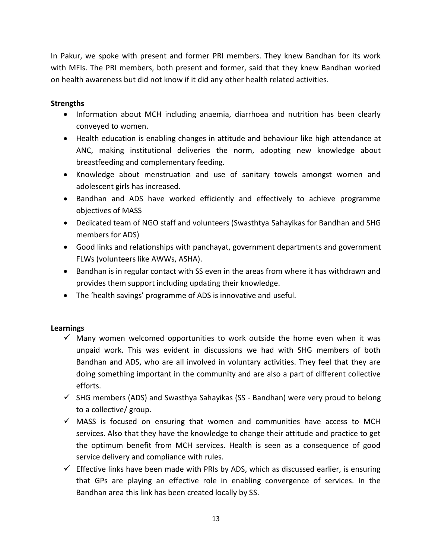In Pakur, we spoke with present and former PRI members. They knew Bandhan for its work with MFIs. The PRI members, both present and former, said that they knew Bandhan worked on health awareness but did not know if it did any other health related activities.

### **Strengths**

- Information about MCH including anaemia, diarrhoea and nutrition has been clearly conveyed to women.
- Health education is enabling changes in attitude and behaviour like high attendance at ANC, making institutional deliveries the norm, adopting new knowledge about breastfeeding and complementary feeding.
- Knowledge about menstruation and use of sanitary towels amongst women and adolescent girls has increased.
- Bandhan and ADS have worked efficiently and effectively to achieve programme objectives of MASS
- Dedicated team of NGO staff and volunteers (Swasthtya Sahayikas for Bandhan and SHG members for ADS)
- Good links and relationships with panchayat, government departments and government FLWs (volunteers like AWWs, ASHA).
- Bandhan is in regular contact with SS even in the areas from where it has withdrawn and provides them support including updating their knowledge.
- The 'health savings' programme of ADS is innovative and useful.

### **Learnings**

- $\checkmark$  Many women welcomed opportunities to work outside the home even when it was unpaid work. This was evident in discussions we had with SHG members of both Bandhan and ADS, who are all involved in voluntary activities. They feel that they are doing something important in the community and are also a part of different collective efforts.
- $\checkmark$  SHG members (ADS) and Swasthya Sahayikas (SS Bandhan) were very proud to belong to a collective/ group.
- $\checkmark$  MASS is focused on ensuring that women and communities have access to MCH services. Also that they have the knowledge to change their attitude and practice to get the optimum benefit from MCH services. Health is seen as a consequence of good service delivery and compliance with rules.
- $\checkmark$  Effective links have been made with PRIs by ADS, which as discussed earlier, is ensuring that GPs are playing an effective role in enabling convergence of services. In the Bandhan area this link has been created locally by SS.